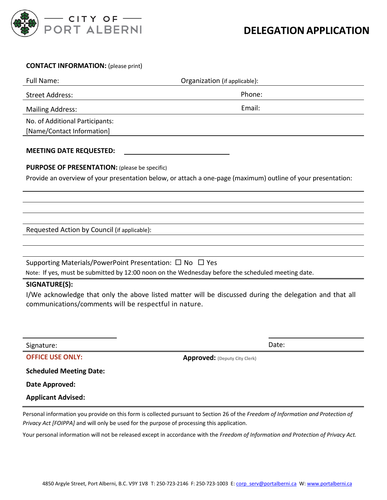

### **CONTACT INFORMATION:** (please print)

| Full Name:                      | Organization (if applicable): |
|---------------------------------|-------------------------------|
| Street Address:                 | Phone:                        |
| <b>Mailing Address:</b>         | Email:                        |
| No. of Additional Participants: |                               |
| [Name/Contact Information]      |                               |
|                                 |                               |

#### **MEETING DATE REQUESTED:**

#### **PURPOSE OF PRESENTATION:** (please be specific)

Provide an overview of your presentation below, or attach a one-page (maximum) outline of your presentation:

Requested Action by Council (if applicable):

Supporting Materials/PowerPoint Presentation:  $\Box$  No  $\Box$  Yes Note: If yes, must be submitted by 12:00 noon on the Wednesday before the scheduled meeting date.

## **SIGNATURE(S):**

I/We acknowledge that only the above listed matter will be discussed during the delegation and that all communications/comments will be respectful in nature.

Signature: Date: Date: Date: Date: Date: Date: Date: Date: Date: Date: Date: Date: Date: Date: Date: Date: Date: Date: Date: Date: Date: Date: Date: Date: Date: Date: Date: Date: Date: Date: Date: Date: Date: Date: Date: D

**OFFICE USE ONLY: Approved:** (Deputy City Clerk)

**Scheduled Meeting Date:**

**Date Approved:**

**Applicant Advised:** 

Personal information you provide on this form is collected pursuant to Section 26 of the *Freedom of Information and Protection of Privacy Act [FOIPPA]* and will only be used for the purpose of processing this application.

Your personal information will not be released except in accordance with the *Freedom of Information and Protection of Privacy Act.*